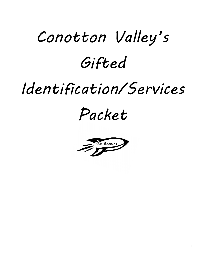# *Conotton Valley's Gifted*

## *Identification/Services*

*Packet*

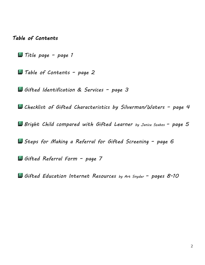*Table of Contents* 

*Title page – page 1*

*Table of Contents – page 2*

*Gifted Identification & Services – page 3*

*Checklist of Gifted Characteristics by Silverman/Waters – page 4*

*Bright Child compared with Gifted Learner by Janice Szabos – page 5*

*Steps for Making a Referral for Gifted Screening – page 6*

*Gifted Referral Form – page 7*

*Gifted Education Internet Resources by Art Snyder – pages 8-10*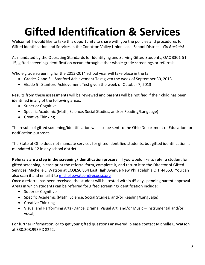## **Gifted Identification & Services**

Welcome! I would like to take this opportunity to share with you the policies and procedures for Gifted Identification and Services in the Conotton Valley Union Local School District – *Go Rockets*!

As mandated by the Operating Standards for Identifying and Serving Gifted Students, OAC 3301-51- 15, gifted screening/identification occurs through either whole grade screenings or referrals.

Whole grade screening for the 2013-2014 school year will take place in the fall:

- Grades 2 and 3 Stanford Achievement Test given the week of September 30, 2013
- Grade 5 Stanford Achievement Test given the week of October 7, 2013

Results from these assessments will be reviewed and parents will be notified if their child has been identified in any of the following areas:

- Superior Cognitive
- Specific Academic (Math, Science, Social Studies, and/or Reading/Language)
- Creative Thinking

The results of gifted screening/identification will also be sent to the Ohio Department of Education for notification purposes.

The State of Ohio does not mandate services for gifted identified students, but gifted identification is mandated K-12 in any school district.

**Referrals are a step in the screening/identification process**. If you would like to refer a student for gifted screening, please print the referral form, complete it, and return it to the Director of Gifted Services, Michelle L. Watson at ECOESC 834 East High Avenue New Philadelphia OH 44663. You can also scan it and email it to [michelle.watson@ecoesc.org](mailto:michelle.watson@ecoesc.org)

Once a referral has been received, the student will be tested within 45 days pending parent approval. Areas in which students can be referred for gifted screening/identification include:

- Superior Cognitive
- Specific Academic (Math, Science, Social Studies, and/or Reading/Language)
- Creative Thinking
- Visual and Performing Arts (Dance, Drama, Visual Art, and/or Music instrumental and/or vocal)

For further information, or to get your gifted questions answered, please contact Michelle L. Watson at 330.308.9939 X 8222.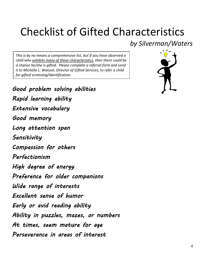### Checklist of Gifted Characteristics

*This is by no means a comprehensive list, but if you have observed a child who exhibits many of these characteristics, then there could be a chance he/she is gifted. Please complete a referral form and send it to Michelle L. Watson, Director of Gifted Services, to refer a child for gifted screening/identification.* 

 $\overline{a}$ 

 $\overline{\phantom{a}}$ 

 $\left| \right|$ 

 $\overline{a}$ 



*Good problem solving abilities Rapid learning ability Extensive vocabulary Good memory Long attention span Sensitivity Compassion for others Perfectionism High degree of energy Preference for older companions Wide range of interests Excellent sense of humor Early or avid reading ability Ability in puzzles, mazes, or numbers At times, seem mature for age Perseverance in areas of interest*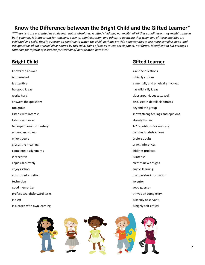#### **Know the Difference between the Bright Child and the Gifted Learner\***

*\*"These lists are presented as guidelines, not as absolutes. A gifted child may not exhibit all of these qualities or may exhibit some in both columns. It is important for teachers, parents, administration, and others to be aware that when any of these qualities are exhibited in a child, then it is reason to continue to watch the child, perhaps provide opportunities to use more complex ideas, and ask questions about unusual ideas shared by this child. Think of this as talent development, not formal identification but perhaps a rationale for referral of a student for screening/identification purposes."* 

| Knows the answer              | Asks the questions                  |
|-------------------------------|-------------------------------------|
| is interested                 | is highly curious                   |
| is attentive                  | is mentally and physically involved |
| has good ideas                | has wild, silly ideas               |
| works hard                    | plays around, yet tests well        |
| answers the questions         | discusses in detail; elaborates     |
| top group                     | beyond the group                    |
| listens with interest         | shows strong feelings and opinions  |
| listens with ease             | already knows                       |
| 6-8 repetitions for mastery   | 1-2 repetitions for mastery         |
| understands ideas             | constructs abstractions             |
| enjoys peers                  | prefers adults                      |
| grasps the meaning            | draws inferences                    |
| completes assignments         | initiates projects                  |
| is receptive                  | is intense                          |
| copies accurately             | creates new designs                 |
| enjoys school                 | enjoys learning                     |
| absorbs information           | manipulates information             |
| technician                    | inventor                            |
| good memorizer                | good guesser                        |
| prefers straightforward tasks | thrives on complexity               |
| Is alert                      | is keenly observant                 |
| Is pleased with own learning  | is highly self-critical             |

#### **Bright Child Gifted Learner**

| Asks the questions                  |
|-------------------------------------|
| is highly curious                   |
| is mentally and physically involved |
| has wild, silly ideas               |
| plays around, yet tests well        |
| discusses in detail; elaborates     |
| beyond the group                    |
| shows strong feelings and opinion   |
| already knows                       |
| 1-2 repetitions for mastery         |
| constructs abstractions             |
| prefers adults                      |
| draws inferences                    |
| initiates projects                  |
| is intense                          |
| creates new designs                 |
| enjoys learning                     |
| manipulates information             |
| inventor                            |
| good guesser                        |
| thrives on complexity               |
| is keenly observant                 |
| is highly self-critical             |

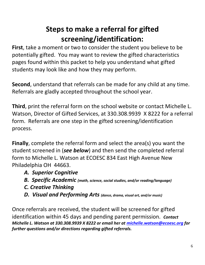### **Steps to make a referral for gifted screening/identification:**

**First**, take a moment or two to consider the student you believe to be potentially gifted. You may want to review the gifted characteristics pages found within this packet to help you understand what gifted students may look like and how they may perform.

**Second**, understand that referrals can be made for any child at any time. Referrals are gladly accepted throughout the school year.

**Third**, print the referral form on the school website or contact Michelle L. Watson, Director of Gifted Services, at 330.308.9939 X 8222 for a referral form. Referrals are one step in the gifted screening/identification process.

**Finally**, complete the referral form and select the area(s) you want the student screened in (*see below*) and then send the completed referral form to Michelle L. Watson at ECOESC 834 East High Avenue New Philadelphia OH 44663.

- *A. Superior Cognitive*
- *B. Specific Academic (math, science, social studies, and/or reading/language)*
- *C. Creative Thinking*
- *D. Visual and Performing Arts (dance, drama, visual art, and/or music)*

Once referrals are received, the student will be screened for gifted identification within 45 days and pending parent permission. *Contact Michelle L. Watson at 330.308.9939 X 8222 or email her at [michelle.watson@ecoesc.org](mailto:michelle.watson@ecoesc.org) for further questions and/or directions regarding gifted referrals.*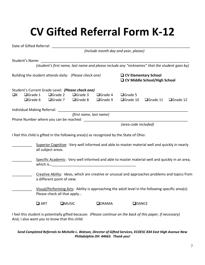### **CV Gifted Referral Form K-12**

|                                                        | Date of Gifted Referral:    |                                                                                                                                  |                |                                                   |                                                                                               |               |           |           |  |  |  |
|--------------------------------------------------------|-----------------------------|----------------------------------------------------------------------------------------------------------------------------------|----------------|---------------------------------------------------|-----------------------------------------------------------------------------------------------|---------------|-----------|-----------|--|--|--|
|                                                        |                             | (Include month day and year, please)                                                                                             |                |                                                   |                                                                                               |               |           |           |  |  |  |
|                                                        |                             |                                                                                                                                  |                |                                                   |                                                                                               |               |           |           |  |  |  |
|                                                        | Student's Name:             |                                                                                                                                  |                |                                                   |                                                                                               |               |           |           |  |  |  |
|                                                        |                             |                                                                                                                                  |                |                                                   | (student's first name, last name and please include any "nicknames" that the student goes by) |               |           |           |  |  |  |
| Building the student attends daily: (Please check one) |                             |                                                                                                                                  |                |                                                   | <b>Q</b> CV Elementary School<br>□ CV Middle School/High School                               |               |           |           |  |  |  |
|                                                        |                             |                                                                                                                                  |                | Student's Current Grade Level: (Please check one) |                                                                                               |               |           |           |  |  |  |
| $\Box$ K                                               | □Grade 1                    |                                                                                                                                  | $\Box$ Grade 2 | □Grade 3                                          | $\Box$ Grade 4                                                                                |               | □Grade 5  |           |  |  |  |
|                                                        | □Grade 6                    |                                                                                                                                  | $\Box$ Grade 7 | □Grade 8                                          | $\Box$ Grade 9                                                                                | □Grade 10     | □Grade 11 | □Grade 12 |  |  |  |
|                                                        |                             |                                                                                                                                  |                |                                                   |                                                                                               |               |           |           |  |  |  |
|                                                        | Individual Making Referral: |                                                                                                                                  |                |                                                   |                                                                                               |               |           |           |  |  |  |
|                                                        |                             |                                                                                                                                  |                | (first name, last name)                           |                                                                                               |               |           |           |  |  |  |
|                                                        |                             |                                                                                                                                  |                | Phone Number where you can be reached:            |                                                                                               |               |           |           |  |  |  |
|                                                        |                             | (area code included)                                                                                                             |                |                                                   |                                                                                               |               |           |           |  |  |  |
|                                                        |                             |                                                                                                                                  |                |                                                   | I feel this child is gifted in the following area(s) as recognized by the State of Ohio:      |               |           |           |  |  |  |
|                                                        |                             | Superior Cognitive: Very well informed and able to master material well and quickly in nearly                                    |                |                                                   |                                                                                               |               |           |           |  |  |  |
|                                                        |                             | all subject areas.                                                                                                               |                |                                                   |                                                                                               |               |           |           |  |  |  |
|                                                        |                             | Specific Academic: Very well informed and able to master material well and quickly in an area,                                   |                |                                                   |                                                                                               |               |           |           |  |  |  |
|                                                        |                             |                                                                                                                                  |                |                                                   |                                                                                               |               |           |           |  |  |  |
|                                                        |                             |                                                                                                                                  |                |                                                   |                                                                                               |               |           |           |  |  |  |
|                                                        |                             | Creative Ability: Ideas, which are creative or unusual and approaches problems and topics from                                   |                |                                                   |                                                                                               |               |           |           |  |  |  |
|                                                        |                             | a different point of view.                                                                                                       |                |                                                   |                                                                                               |               |           |           |  |  |  |
|                                                        |                             |                                                                                                                                  |                |                                                   |                                                                                               |               |           |           |  |  |  |
|                                                        |                             | Visual/Performing Arts: Ability is approaching the adult level in the following specific area(s):<br>Please check all that apply |                |                                                   |                                                                                               |               |           |           |  |  |  |
|                                                        |                             | $\Box$ ART                                                                                                                       | <b>OMUSIC</b>  |                                                   | <b>QDRAMA</b>                                                                                 | <b>QDANCE</b> |           |           |  |  |  |
|                                                        |                             |                                                                                                                                  |                |                                                   |                                                                                               |               |           |           |  |  |  |

I feel this student is potentially gifted because: *(Please continue on the back of this paper, if necessary)* And, I also want you to know that this child:

#### *Send Completed Referrals to Michelle L. Watson, Director of Gifted Services, ECOESC 834 East High Avenue New Philadelphia OH 44663. Thank you!*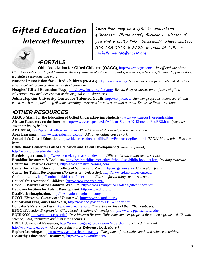### *Gifted Education Internet Resources*

*These links may be helpful to understand giftedness. Please notify Michelle L. Watson if you find a faulty link. Questions? Please contact 330.308.9939 X 8222 or email Michelle at [michelle.watson@ecoesc.org](mailto:michelle.watson@ecoesc.org)*



### *•PORTALS*

**Ohio Association for Gifted Children (OAGC),** <http://www.oagc.com/> *The official site of the* 

*Ohio Association for Gifted Children. An encyclopedia of information, links, resources, advocacy, Summer Opportunities, legislative reportage and more.*

**National Association for Gifted Children (NAGC),** [http://www.nagc.org](http://www.nagc.org/) *National overview for parents and educators alike. Excellent resources, links, legislative information.*

**Hoagies' Gifted Education Page,** <http://www.hoagiesgifted.org/> *Broad, deep resources on all facets of gifted education. Now includes content of the original ERIC databases.*

**Johns Hopkins University Center for Talented Youth,** <http://cty.jhu.edu/> *Summer programs, talent search and much, much more, including distance learning, resources for educators and parents. Extensive links are a boon.*

### *•OTHER RESOURCES*

**AEGUS (Assn. for the Education of Gifted Underachieving Students),** [http://www.aegus1. org/index.htm](http://www.aegus1.org/index.htm) **African Resources on the Internet,** [http://www.sas.upenn.edu/African\\_Studies/K-12/menu\\_EduBBS.html](http://www.sas.upenn.edu/African_Studies/K-12/menu_EduBBS.html) *(see also*  **Javanoir** *listing below)*

**AP Central,** [http://apcentral.collegeboard.com](http://apcentral.collegeboard.com/) *Official Advanced Placement program information.*

**Apex Learning,** <http://www.apexlearning.com/>*AP, other online coursework.*

**Armadillo's Gifted Education,** <http://chico.rice.edu/armadillo/Rice/Resources/gifted.html>*TAGFAM and other lists are here.*

**Belin-Blank Center for Gifted Education and Talent Development** *(University of Iowa)***,** 

<http://www.uiowa.edu/~belinctr/>

**BertieKingore.com,** <http://www.bertiekingore.com/index.htm> *Differentiation, achievement, service.*

**Brookline Resources & Booklists,** <http://bec.brookline.mec.edu/gift/booklists/biblio-booklist.htm> *Reading materials.* **Center for Creative Learning,** [http://www.creativelearning.com](http://www.creativelearning.com/)

**Center for Gifted Education** (College of William and Mary),<http://cfge.wm.edu/> *Curriculum focus.*

**Center for Talent Development** *(Northwestern University),* <http://www.ctd.northwestern.edu/>

**Coolmath4kids,** <http://coolmath4kids.com/index.html>*Fun site for all things math, science.*

**Council for Exceptional Children,** <http://www.cec.sped.org/>

**David C. Baird's Gifted Children Web Site,** <http://www3.sympatico.ca/daba/gifted/index.html>

**Davidson Institute for Talent Development,** <http://www.ditd.org/>

**DestiNationImagination,** <http://destinationimagination.org/>

**ECOT** *(Electronic Classroom of Tomorrow)*,<http://www.ecotohio.org/>

**Educational Programs That Work,** <http://www.ed.gov/pubs/EPTW/index.html>

**Educator's Reference Desk,** <http://www.eduref.org/> *The entire archive of the ERIC databases.*

**EPGY** *(Education Program for Gifted Youth, Stanford University)*, [http://www-e pgy.stanford.edu/](http://www-epgy.stanford.edu/)

**EQUINOX,** <http://equinox.case.edu/> *Case Western Reserve University summer program for students grades 10-12, with science, math, computers and humanities courses.*

**ERIC Educational Resources,** <http://www.hoagiesgifted.org/eric/index.html> *(archived data) and* <http://www.eric.ed.gov/> *(Also see* **Educator's Reference Desk** *above.)*

**ExploreLearning.com,** [htt p://www.explorelearning.com/](http://www.explorelearning.com/) *The gamut of interactive math and science activities.* **Exworthy Educational Resources,** <http://www.exworthy.com/>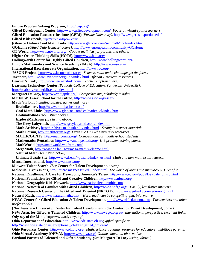**Future Problem Solving Program,** <http://fpsp.org/> **Gifted Development Center,** <http://www.gifteddevelopment.com/> *Focus on visual-spatial learners.* **Gifted Education Resource Institute (GERI)** *(Purdue University)*,<http://www.geri.soe.purdue.edu/> **Gifted Kids Speak,** <http://giftedkidspeak.com/> **(Glencoe Online) Cool Math Links,** <http://www.glencoe.com/sec/math/cool/index.htm> **GOHome** *(Gifted Ohio Homeschoolers)*,<http://www.egroups.com/community/GOHome> **GT World,** <http://www.gtworld.org/>*Good e-mail lists for parents and others.* **Higher Order Thinking Skills (HOTS),** <http://www.hots.org/> **Hollingworth Center for Highly Gifted Children,** <http://www.hollingworth.org/> **Illinois Mathematics and Science Academy (IMSA),** <http://www.imsa.edu/> **International Baccalaureate Organization,** <http://www.ibo.org/> **JASON Project,** <http://www.jasonproject.org/>*Science, math and technology get the focus.* **Javanoir,** <http://www.javanoir.net/guide/index.html> *African-American resources.* **Learner's Link,** <http://www.learnerslink.com/> *Teacher emphasis here.* **Learning Technology Center** *(Peabody College of Education, Vanderbilt University)*, [http://peabody.vanderbilt.edu/index.htm l](http://peabody.vanderbilt.edu/index.html) **Margaret DeLacy,** <http://www.tagpdx.org/>*Comprehensive, scholarly insights.* **Martin W. Essex School for the Gifted,** <http://www.ssco.org/essex/> **Math** *(various, including puzzles, games and more)*   **BrainBashers,** <http://www.brainbashers.com/>  **Cool Math Links,** <http://www.glencoe.com/sec/math/cool/index.htm>  **Coolmath4kids** *(see listing above)*  **ExploreMath.com** *(see listing above)*  **The Grey Labyrinth,** <http://www.greylabyrinth.com/index.htm>  **Math Archives,** <http://archives.math.utk.edu/index.html>*Strong in teacher materials.*  **Math Forum,** <http://mathforum.org/> *Extensive Dr exel University resources*.  **MATHCOUNTS**,<http://mathcounts.org/> *Competitions for middle-school students.*  **Mathematics Pentathlon** <http://www.mathpentath.org/> *K-8 problem-solving games.*  **MathWorld,** <http://mathworld.wolfram.com/>  **MegaMath,** <http://www.c3.lanl.gov/mega-math/welcome.html>  **Natural Math** *(see listing below)*  **Ultimate Puzzle Site,** [http://www.dse.nl/~puzz le/index\\_us.html](http://www.dse.nl/~puzzle/index_us.html) *Math and non-math brain-teasers.* **Mensa International,** <http://www.mensa.org/> **Midwest Talent Search** *(See* **Center for Talent Development,** *above)* **Molecular Expressions,** <http://micro.magnet.fsu.edu/index.html> *The world of optics and microscopy. Great fun.* **National Excellence: A Case for Developing America's Talent,** <http://www.ed.gov/pubs/DevTalent/intro.html> **National Foundation for Gifted and Creative Children,** <http://www.nfgcc.org/> **National Geographic Kids Network,** [http://www.nationalgeographic.com](http://www.nationalgeographic.com/) **National Network of Families with Gifted Children,** <http://www.nnfgc.org/>*Family, legislative interests.* **National Research Center on the Gifted and Talented (NRCGT),** <http://www.gifted.uconn.edu/nrcgt.html> **Natural Math,** <http://www.naturalmath.com/>*Here, math can be compelling, fun, informative.* **NEAG Center for Gifted Education & Talent Development,** <http://www.gifted.uconn.edu/>*For teachers and other professionals.* **(Northwestern University) Center for Talent Development,** (*See* **Center for Talent Development**, *above*) **NSW Assn. for Gifted & Talented Children,** <http://www.nswagtc.org.au/> *International perspective, excellent links.* **Odyssey of the Mind,** http://www.odyssey.org/ **Ohio Department of Education,** [http://www.ode.state.oh.us/;](http://www.ode.state.oh.us/) *gifted-specific at* [http://www.ode.state.oh.us/exceptional\\_children/gifted\\_children/](http://www.ode.state.oh.us/exceptional_children/gifted_children/) **Ohio Resources Center,** <http://www.ohiorc.org/> *Math, science, reading resources for educators, ambitious parents.* **Ohio Virtual Academy (OHVA),** <http://www.ohva.org/> *Online education alt ernatives*. **Portland Parents of Talented and Gifted Students,** *(See* **Margaret DeLacy** *listing, above.)*